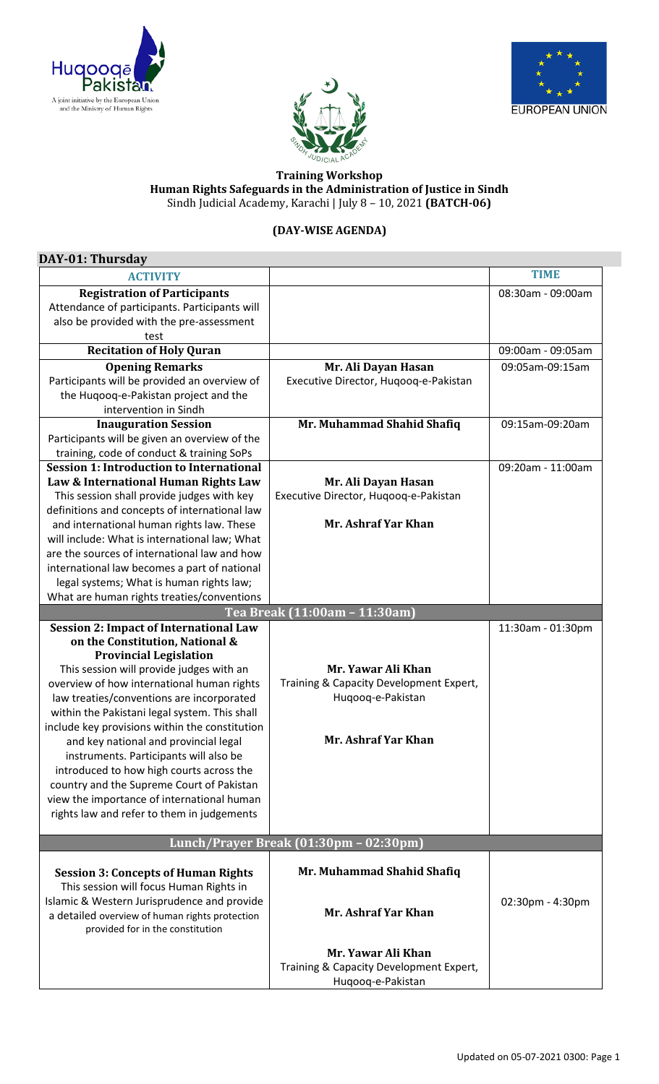





## **Training Workshop Human Rights Safeguards in the Administration of Justice in Sindh** Sindh Judicial Academy, Karachi | July 8 – 10, 2021 **(BATCH-06)**

## **(DAY-WISE AGENDA)**

| DAY-01: Thursday                                                 |                                         |                   |  |
|------------------------------------------------------------------|-----------------------------------------|-------------------|--|
| <b>ACTIVITY</b>                                                  |                                         | <b>TIME</b>       |  |
| <b>Registration of Participants</b>                              |                                         | 08:30am - 09:00am |  |
| Attendance of participants. Participants will                    |                                         |                   |  |
| also be provided with the pre-assessment                         |                                         |                   |  |
| test                                                             |                                         |                   |  |
| <b>Recitation of Holy Quran</b>                                  |                                         | 09:00am - 09:05am |  |
| <b>Opening Remarks</b>                                           | Mr. Ali Dayan Hasan                     | 09:05am-09:15am   |  |
| Participants will be provided an overview of                     | Executive Director, Huqooq-e-Pakistan   |                   |  |
| the Huqooq-e-Pakistan project and the                            |                                         |                   |  |
| intervention in Sindh                                            |                                         |                   |  |
| <b>Inauguration Session</b>                                      | Mr. Muhammad Shahid Shafiq              | 09:15am-09:20am   |  |
| Participants will be given an overview of the                    |                                         |                   |  |
| training, code of conduct & training SoPs                        |                                         |                   |  |
| <b>Session 1: Introduction to International</b>                  |                                         | 09:20am - 11:00am |  |
| Law & International Human Rights Law                             | Mr. Ali Dayan Hasan                     |                   |  |
| This session shall provide judges with key                       | Executive Director, Huqooq-e-Pakistan   |                   |  |
| definitions and concepts of international law                    |                                         |                   |  |
| and international human rights law. These                        | Mr. Ashraf Yar Khan                     |                   |  |
| will include: What is international law; What                    |                                         |                   |  |
| are the sources of international law and how                     |                                         |                   |  |
| international law becomes a part of national                     |                                         |                   |  |
| legal systems; What is human rights law;                         |                                         |                   |  |
| What are human rights treaties/conventions                       |                                         |                   |  |
|                                                                  | Tea Break (11:00am - 11:30am)           |                   |  |
| <b>Session 2: Impact of International Law</b>                    |                                         | 11:30am - 01:30pm |  |
| on the Constitution, National &<br><b>Provincial Legislation</b> |                                         |                   |  |
| This session will provide judges with an                         | Mr. Yawar Ali Khan                      |                   |  |
| overview of how international human rights                       | Training & Capacity Development Expert, |                   |  |
| law treaties/conventions are incorporated                        | Huqooq-e-Pakistan                       |                   |  |
| within the Pakistani legal system. This shall                    |                                         |                   |  |
| include key provisions within the constitution                   |                                         |                   |  |
| and key national and provincial legal                            | Mr. Ashraf Yar Khan                     |                   |  |
| instruments. Participants will also be                           |                                         |                   |  |
| introduced to how high courts across the                         |                                         |                   |  |
| country and the Supreme Court of Pakistan                        |                                         |                   |  |
| view the importance of international human                       |                                         |                   |  |
| rights law and refer to them in judgements                       |                                         |                   |  |
|                                                                  |                                         |                   |  |
| Lunch/Prayer Break (01:30pm - 02:30pm)                           |                                         |                   |  |
|                                                                  |                                         |                   |  |
| <b>Session 3: Concepts of Human Rights</b>                       | Mr. Muhammad Shahid Shafiq              |                   |  |
| This session will focus Human Rights in                          |                                         |                   |  |
| Islamic & Western Jurisprudence and provide                      | Mr. Ashraf Yar Khan                     | 02:30pm - 4:30pm  |  |
| a detailed overview of human rights protection                   |                                         |                   |  |
| provided for in the constitution                                 |                                         |                   |  |
|                                                                  | Mr. Yawar Ali Khan                      |                   |  |
|                                                                  | Training & Capacity Development Expert, |                   |  |
|                                                                  | Huqooq-e-Pakistan                       |                   |  |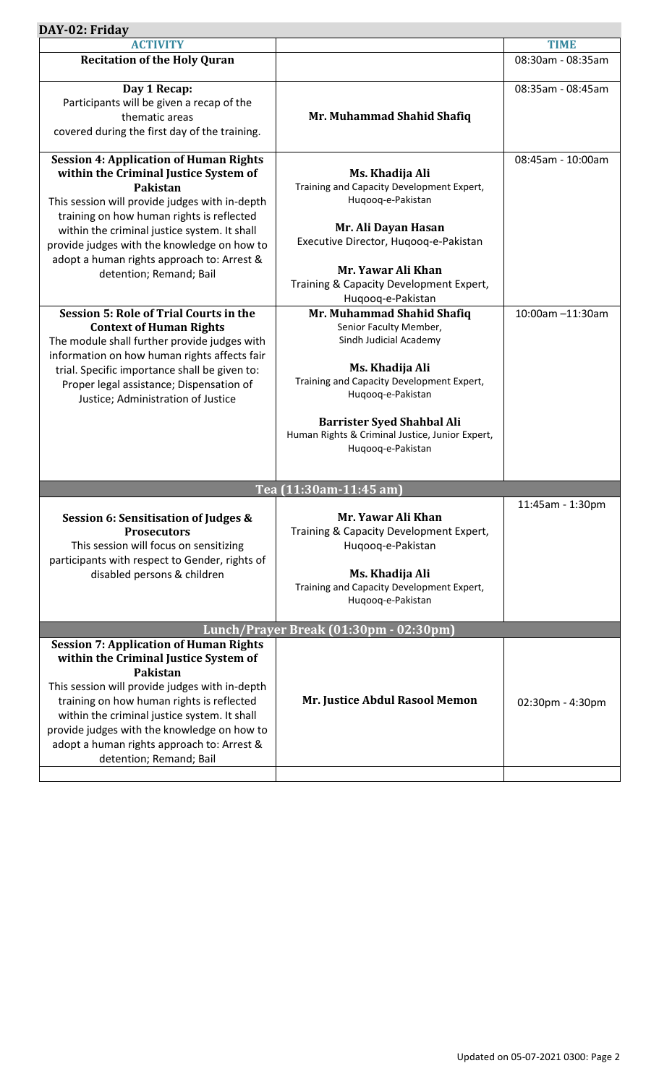| DAY-02: Friday                                                                                                                                                                                                                                                                                                                                                                                                                                                                                                                                                                                                                                                                                         |                                                                                                                                                                                                                                                                                                                                                                                                                                                                                                                             |                                       |
|--------------------------------------------------------------------------------------------------------------------------------------------------------------------------------------------------------------------------------------------------------------------------------------------------------------------------------------------------------------------------------------------------------------------------------------------------------------------------------------------------------------------------------------------------------------------------------------------------------------------------------------------------------------------------------------------------------|-----------------------------------------------------------------------------------------------------------------------------------------------------------------------------------------------------------------------------------------------------------------------------------------------------------------------------------------------------------------------------------------------------------------------------------------------------------------------------------------------------------------------------|---------------------------------------|
| <b>ACTIVITY</b>                                                                                                                                                                                                                                                                                                                                                                                                                                                                                                                                                                                                                                                                                        |                                                                                                                                                                                                                                                                                                                                                                                                                                                                                                                             | <b>TIME</b>                           |
| <b>Recitation of the Holy Quran</b>                                                                                                                                                                                                                                                                                                                                                                                                                                                                                                                                                                                                                                                                    |                                                                                                                                                                                                                                                                                                                                                                                                                                                                                                                             | 08:30am - 08:35am                     |
| Day 1 Recap:<br>Participants will be given a recap of the<br>thematic areas<br>covered during the first day of the training.                                                                                                                                                                                                                                                                                                                                                                                                                                                                                                                                                                           | Mr. Muhammad Shahid Shafiq                                                                                                                                                                                                                                                                                                                                                                                                                                                                                                  | 08:35am - 08:45am                     |
| <b>Session 4: Application of Human Rights</b><br>within the Criminal Justice System of<br><b>Pakistan</b><br>This session will provide judges with in-depth<br>training on how human rights is reflected<br>within the criminal justice system. It shall<br>provide judges with the knowledge on how to<br>adopt a human rights approach to: Arrest &<br>detention; Remand; Bail<br><b>Session 5: Role of Trial Courts in the</b><br><b>Context of Human Rights</b><br>The module shall further provide judges with<br>information on how human rights affects fair<br>trial. Specific importance shall be given to:<br>Proper legal assistance; Dispensation of<br>Justice; Administration of Justice | Ms. Khadija Ali<br>Training and Capacity Development Expert,<br>Huqooq-e-Pakistan<br>Mr. Ali Dayan Hasan<br>Executive Director, Huqooq-e-Pakistan<br>Mr. Yawar Ali Khan<br>Training & Capacity Development Expert,<br>Huqooq-e-Pakistan<br>Mr. Muhammad Shahid Shafiq<br>Senior Faculty Member,<br>Sindh Judicial Academy<br>Ms. Khadija Ali<br>Training and Capacity Development Expert,<br>Huqooq-e-Pakistan<br><b>Barrister Syed Shahbal Ali</b><br>Human Rights & Criminal Justice, Junior Expert,<br>Huqooq-e-Pakistan | 08:45am - 10:00am<br>10:00am -11:30am |
|                                                                                                                                                                                                                                                                                                                                                                                                                                                                                                                                                                                                                                                                                                        |                                                                                                                                                                                                                                                                                                                                                                                                                                                                                                                             |                                       |
|                                                                                                                                                                                                                                                                                                                                                                                                                                                                                                                                                                                                                                                                                                        | Tea (11:30am-11:45 am)                                                                                                                                                                                                                                                                                                                                                                                                                                                                                                      |                                       |
| Session 6: Sensitisation of Judges &<br><b>Prosecutors</b><br>This session will focus on sensitizing<br>participants with respect to Gender, rights of<br>disabled persons & children                                                                                                                                                                                                                                                                                                                                                                                                                                                                                                                  | Mr. Yawar Ali Khan<br>Training & Capacity Development Expert,<br>Huqooq-e-Pakistan<br>Ms. Khadija Ali<br>Training and Capacity Development Expert,<br>Huqooq-e-Pakistan                                                                                                                                                                                                                                                                                                                                                     | 11:45am - 1:30pm                      |
| Lunch/Prayer Break (01:30pm - 02:30pm)                                                                                                                                                                                                                                                                                                                                                                                                                                                                                                                                                                                                                                                                 |                                                                                                                                                                                                                                                                                                                                                                                                                                                                                                                             |                                       |
| <b>Session 7: Application of Human Rights</b><br>within the Criminal Justice System of<br><b>Pakistan</b><br>This session will provide judges with in-depth<br>training on how human rights is reflected<br>within the criminal justice system. It shall<br>provide judges with the knowledge on how to<br>adopt a human rights approach to: Arrest &<br>detention; Remand; Bail                                                                                                                                                                                                                                                                                                                       | Mr. Justice Abdul Rasool Memon                                                                                                                                                                                                                                                                                                                                                                                                                                                                                              | 02:30pm - 4:30pm                      |
|                                                                                                                                                                                                                                                                                                                                                                                                                                                                                                                                                                                                                                                                                                        |                                                                                                                                                                                                                                                                                                                                                                                                                                                                                                                             |                                       |